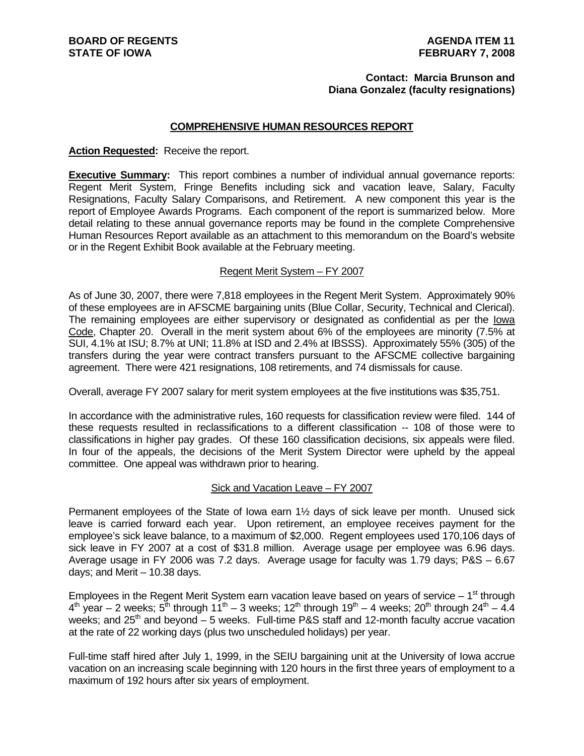#### **Contact: Marcia Brunson and Diana Gonzalez (faculty resignations)**

#### **COMPREHENSIVE HUMAN RESOURCES REPORT**

#### **Action Requested:** Receive the report.

**Executive Summary:** This report combines a number of individual annual governance reports: Regent Merit System, Fringe Benefits including sick and vacation leave, Salary, Faculty Resignations, Faculty Salary Comparisons, and Retirement. A new component this year is the report of Employee Awards Programs. Each component of the report is summarized below. More detail relating to these annual governance reports may be found in the complete Comprehensive Human Resources Report available as an attachment to this memorandum on the Board's website or in the Regent Exhibit Book available at the February meeting.

#### Regent Merit System – FY 2007

As of June 30, 2007, there were 7,818 employees in the Regent Merit System. Approximately 90% of these employees are in AFSCME bargaining units (Blue Collar, Security, Technical and Clerical). The remaining employees are either supervisory or designated as confidential as per the lowa Code, Chapter 20. Overall in the merit system about 6% of the employees are minority (7.5% at SUI, 4.1% at ISU; 8.7% at UNI; 11.8% at ISD and 2.4% at IBSSS). Approximately 55% (305) of the transfers during the year were contract transfers pursuant to the AFSCME collective bargaining agreement. There were 421 resignations, 108 retirements, and 74 dismissals for cause.

Overall, average FY 2007 salary for merit system employees at the five institutions was \$35,751.

In accordance with the administrative rules, 160 requests for classification review were filed. 144 of these requests resulted in reclassifications to a different classification -- 108 of those were to classifications in higher pay grades. Of these 160 classification decisions, six appeals were filed. In four of the appeals, the decisions of the Merit System Director were upheld by the appeal committee. One appeal was withdrawn prior to hearing.

#### Sick and Vacation Leave – FY 2007

Permanent employees of the State of Iowa earn 1½ days of sick leave per month. Unused sick leave is carried forward each year. Upon retirement, an employee receives payment for the employee's sick leave balance, to a maximum of \$2,000. Regent employees used 170,106 days of sick leave in FY 2007 at a cost of \$31.8 million. Average usage per employee was 6.96 days. Average usage in FY 2006 was 7.2 days. Average usage for faculty was 1.79 days; P&S – 6.67 days; and Merit – 10.38 days.

Employees in the Regent Merit System earn vacation leave based on years of service  $-1<sup>st</sup>$  through  $4<sup>th</sup>$  year – 2 weeks;  $5<sup>th</sup>$  through 11<sup>th</sup> – 3 weeks; 12<sup>th</sup> through 19<sup>th</sup> – 4 weeks; 20<sup>th</sup> through 24<sup>th</sup> – 4.4 weeks; and  $25<sup>th</sup>$  and beyond – 5 weeks. Full-time P&S staff and 12-month faculty accrue vacation at the rate of 22 working days (plus two unscheduled holidays) per year.

Full-time staff hired after July 1, 1999, in the SEIU bargaining unit at the University of Iowa accrue vacation on an increasing scale beginning with 120 hours in the first three years of employment to a maximum of 192 hours after six years of employment.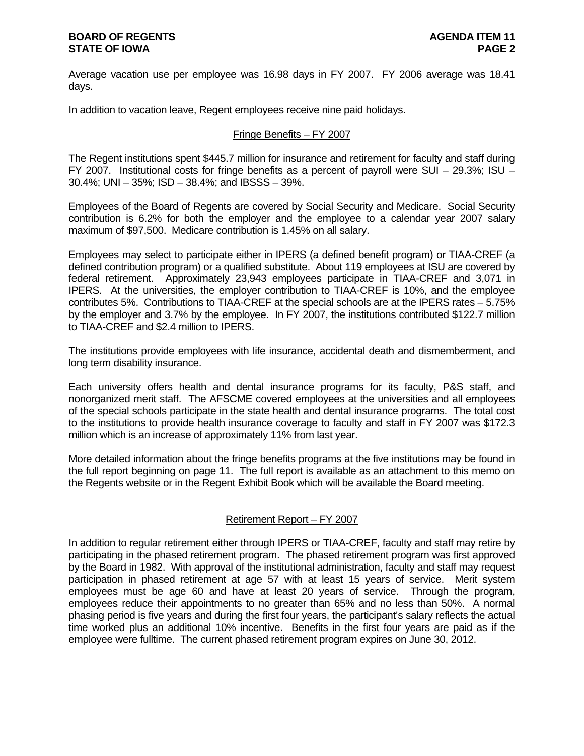Average vacation use per employee was 16.98 days in FY 2007. FY 2006 average was 18.41 days.

In addition to vacation leave, Regent employees receive nine paid holidays.

# Fringe Benefits – FY 2007

The Regent institutions spent \$445.7 million for insurance and retirement for faculty and staff during FY 2007. Institutional costs for fringe benefits as a percent of payroll were SUI – 29.3%; ISU – 30.4%; UNI – 35%; ISD – 38.4%; and IBSSS – 39%.

Employees of the Board of Regents are covered by Social Security and Medicare. Social Security contribution is 6.2% for both the employer and the employee to a calendar year 2007 salary maximum of \$97,500. Medicare contribution is 1.45% on all salary.

Employees may select to participate either in IPERS (a defined benefit program) or TIAA-CREF (a defined contribution program) or a qualified substitute. About 119 employees at ISU are covered by federal retirement. Approximately 23,943 employees participate in TIAA-CREF and 3,071 in IPERS. At the universities, the employer contribution to TIAA-CREF is 10%, and the employee contributes 5%. Contributions to TIAA-CREF at the special schools are at the IPERS rates – 5.75% by the employer and 3.7% by the employee. In FY 2007, the institutions contributed \$122.7 million to TIAA-CREF and \$2.4 million to IPERS.

The institutions provide employees with life insurance, accidental death and dismemberment, and long term disability insurance.

Each university offers health and dental insurance programs for its faculty, P&S staff, and nonorganized merit staff. The AFSCME covered employees at the universities and all employees of the special schools participate in the state health and dental insurance programs. The total cost to the institutions to provide health insurance coverage to faculty and staff in FY 2007 was \$172.3 million which is an increase of approximately 11% from last year.

More detailed information about the fringe benefits programs at the five institutions may be found in the full report beginning on page 11. The full report is available as an attachment to this memo on the Regents website or in the Regent Exhibit Book which will be available the Board meeting.

# Retirement Report – FY 2007

In addition to regular retirement either through IPERS or TIAA-CREF, faculty and staff may retire by participating in the phased retirement program. The phased retirement program was first approved by the Board in 1982. With approval of the institutional administration, faculty and staff may request participation in phased retirement at age 57 with at least 15 years of service. Merit system employees must be age 60 and have at least 20 years of service. Through the program, employees reduce their appointments to no greater than 65% and no less than 50%. A normal phasing period is five years and during the first four years, the participant's salary reflects the actual time worked plus an additional 10% incentive. Benefits in the first four years are paid as if the employee were fulltime. The current phased retirement program expires on June 30, 2012.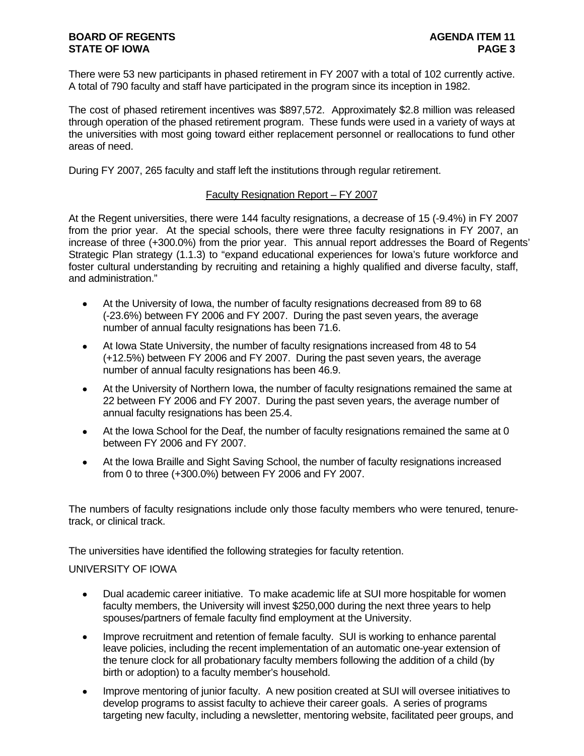There were 53 new participants in phased retirement in FY 2007 with a total of 102 currently active. A total of 790 faculty and staff have participated in the program since its inception in 1982.

The cost of phased retirement incentives was \$897,572. Approximately \$2.8 million was released through operation of the phased retirement program. These funds were used in a variety of ways at the universities with most going toward either replacement personnel or reallocations to fund other areas of need.

During FY 2007, 265 faculty and staff left the institutions through regular retirement.

# Faculty Resignation Report – FY 2007

At the Regent universities, there were 144 faculty resignations, a decrease of 15 (-9.4%) in FY 2007 from the prior year. At the special schools, there were three faculty resignations in FY 2007, an increase of three (+300.0%) from the prior year. This annual report addresses the Board of Regents' Strategic Plan strategy (1.1.3) to "expand educational experiences for Iowa's future workforce and foster cultural understanding by recruiting and retaining a highly qualified and diverse faculty, staff, and administration."

- At the University of Iowa, the number of faculty resignations decreased from 89 to 68 (-23.6%) between FY 2006 and FY 2007. During the past seven years, the average number of annual faculty resignations has been 71.6.
- At Iowa State University, the number of faculty resignations increased from 48 to 54 (+12.5%) between FY 2006 and FY 2007. During the past seven years, the average number of annual faculty resignations has been 46.9.
- At the University of Northern Iowa, the number of faculty resignations remained the same at 22 between FY 2006 and FY 2007. During the past seven years, the average number of annual faculty resignations has been 25.4.
- At the Iowa School for the Deaf, the number of faculty resignations remained the same at 0 between FY 2006 and FY 2007.
- At the Iowa Braille and Sight Saving School, the number of faculty resignations increased from 0 to three (+300.0%) between FY 2006 and FY 2007.

The numbers of faculty resignations include only those faculty members who were tenured, tenuretrack, or clinical track.

The universities have identified the following strategies for faculty retention.

# UNIVERSITY OF IOWA

- Dual academic career initiative. To make academic life at SUI more hospitable for women faculty members, the University will invest \$250,000 during the next three years to help spouses/partners of female faculty find employment at the University.
- Improve recruitment and retention of female faculty. SUI is working to enhance parental leave policies, including the recent implementation of an automatic one-year extension of the tenure clock for all probationary faculty members following the addition of a child (by birth or adoption) to a faculty member's household.
- Improve mentoring of junior faculty. A new position created at SUI will oversee initiatives to develop programs to assist faculty to achieve their career goals. A series of programs targeting new faculty, including a newsletter, mentoring website, facilitated peer groups, and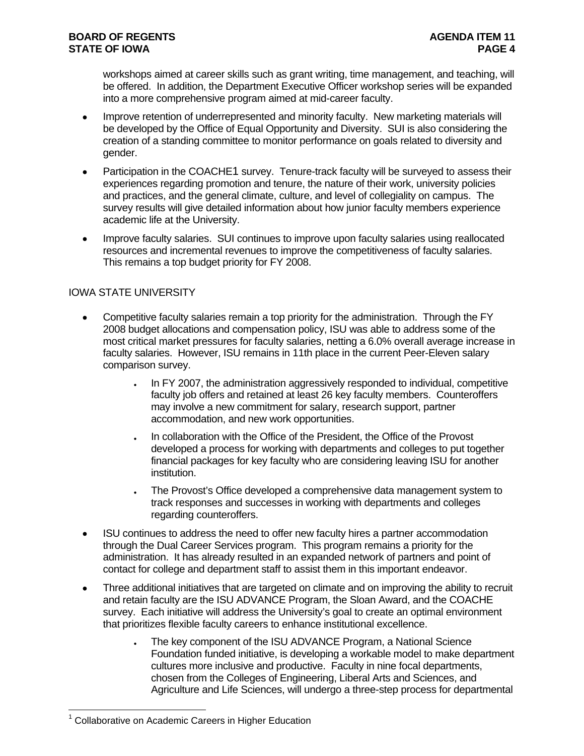workshops aimed at career skills such as grant writing, time management, and teaching, will be offered. In addition, the Department Executive Officer workshop series will be expanded into a more comprehensive program aimed at mid-career faculty.

- Improve retention of underrepresented and minority faculty. New marketing materials will be developed by the Office of Equal Opportunity and Diversity. SUI is also considering the creation of a standing committee to monitor performance on goals related to diversity and gender.
- Participation in the COACHE1 survey. Tenure-track faculty will be surveyed to assess their experiences regarding promotion and tenure, the nature of their work, university policies and practices, and the general climate, culture, and level of collegiality on campus. The survey results will give detailed information about how junior faculty members experience academic life at the University.
- Improve faculty salaries. SUI continues to improve upon faculty salaries using reallocated resources and incremental revenues to improve the competitiveness of faculty salaries. This remains a top budget priority for FY 2008.

# IOWA STATE UNIVERSITY

- Competitive faculty salaries remain a top priority for the administration. Through the FY 2008 budget allocations and compensation policy, ISU was able to address some of the most critical market pressures for faculty salaries, netting a 6.0% overall average increase in faculty salaries. However, ISU remains in 11th place in the current Peer-Eleven salary comparison survey.
	- In FY 2007, the administration aggressively responded to individual, competitive faculty job offers and retained at least 26 key faculty members. Counteroffers may involve a new commitment for salary, research support, partner accommodation, and new work opportunities.
	- In collaboration with the Office of the President, the Office of the Provost developed a process for working with departments and colleges to put together financial packages for key faculty who are considering leaving ISU for another institution.
	- The Provost's Office developed a comprehensive data management system to track responses and successes in working with departments and colleges regarding counteroffers.
- ISU continues to address the need to offer new faculty hires a partner accommodation through the Dual Career Services program. This program remains a priority for the administration. It has already resulted in an expanded network of partners and point of contact for college and department staff to assist them in this important endeavor.
- Three additional initiatives that are targeted on climate and on improving the ability to recruit and retain faculty are the ISU ADVANCE Program, the Sloan Award, and the COACHE survey. Each initiative will address the University's goal to create an optimal environment that prioritizes flexible faculty careers to enhance institutional excellence.
	- The key component of the ISU ADVANCE Program, a National Science Foundation funded initiative, is developing a workable model to make department cultures more inclusive and productive. Faculty in nine focal departments, chosen from the Colleges of Engineering, Liberal Arts and Sciences, and Agriculture and Life Sciences, will undergo a three-step process for departmental

 $\overline{a}$ 

<sup>&</sup>lt;sup>1</sup> Collaborative on Academic Careers in Higher Education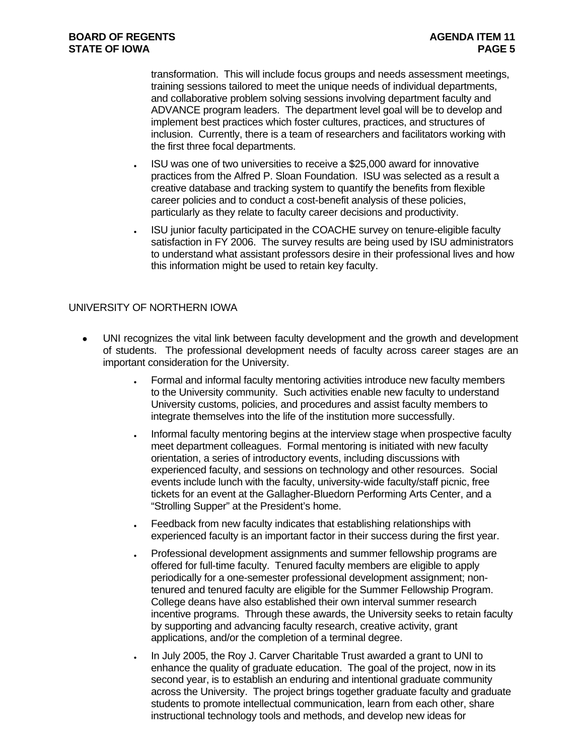transformation. This will include focus groups and needs assessment meetings, training sessions tailored to meet the unique needs of individual departments, and collaborative problem solving sessions involving department faculty and ADVANCE program leaders. The department level goal will be to develop and implement best practices which foster cultures, practices, and structures of inclusion. Currently, there is a team of researchers and facilitators working with the first three focal departments.

- ISU was one of two universities to receive a \$25,000 award for innovative practices from the Alfred P. Sloan Foundation. ISU was selected as a result a creative database and tracking system to quantify the benefits from flexible career policies and to conduct a cost-benefit analysis of these policies, particularly as they relate to faculty career decisions and productivity.
- ISU junior faculty participated in the COACHE survey on tenure-eligible faculty satisfaction in FY 2006. The survey results are being used by ISU administrators to understand what assistant professors desire in their professional lives and how this information might be used to retain key faculty.

# UNIVERSITY OF NORTHERN IOWA

- UNI recognizes the vital link between faculty development and the growth and development of students. The professional development needs of faculty across career stages are an important consideration for the University.
	- Formal and informal faculty mentoring activities introduce new faculty members to the University community. Such activities enable new faculty to understand University customs, policies, and procedures and assist faculty members to integrate themselves into the life of the institution more successfully.
	- Informal faculty mentoring begins at the interview stage when prospective faculty meet department colleagues. Formal mentoring is initiated with new faculty orientation, a series of introductory events, including discussions with experienced faculty, and sessions on technology and other resources. Social events include lunch with the faculty, university-wide faculty/staff picnic, free tickets for an event at the Gallagher-Bluedorn Performing Arts Center, and a "Strolling Supper" at the President's home.
	- Feedback from new faculty indicates that establishing relationships with experienced faculty is an important factor in their success during the first year.
	- Professional development assignments and summer fellowship programs are offered for full-time faculty. Tenured faculty members are eligible to apply periodically for a one-semester professional development assignment; nontenured and tenured faculty are eligible for the Summer Fellowship Program. College deans have also established their own interval summer research incentive programs. Through these awards, the University seeks to retain faculty by supporting and advancing faculty research, creative activity, grant applications, and/or the completion of a terminal degree.
	- In July 2005, the Roy J. Carver Charitable Trust awarded a grant to UNI to enhance the quality of graduate education. The goal of the project, now in its second year, is to establish an enduring and intentional graduate community across the University. The project brings together graduate faculty and graduate students to promote intellectual communication, learn from each other, share instructional technology tools and methods, and develop new ideas for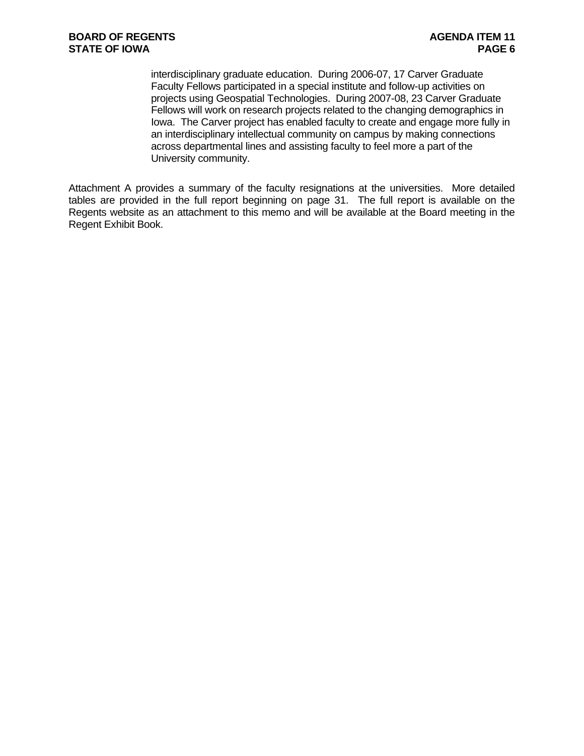interdisciplinary graduate education. During 2006-07, 17 Carver Graduate Faculty Fellows participated in a special institute and follow-up activities on projects using Geospatial Technologies. During 2007-08, 23 Carver Graduate Fellows will work on research projects related to the changing demographics in Iowa. The Carver project has enabled faculty to create and engage more fully in an interdisciplinary intellectual community on campus by making connections across departmental lines and assisting faculty to feel more a part of the University community.

Attachment A provides a summary of the faculty resignations at the universities. More detailed tables are provided in the full report beginning on page 31. The full report is available on the Regents website as an attachment to this memo and will be available at the Board meeting in the Regent Exhibit Book.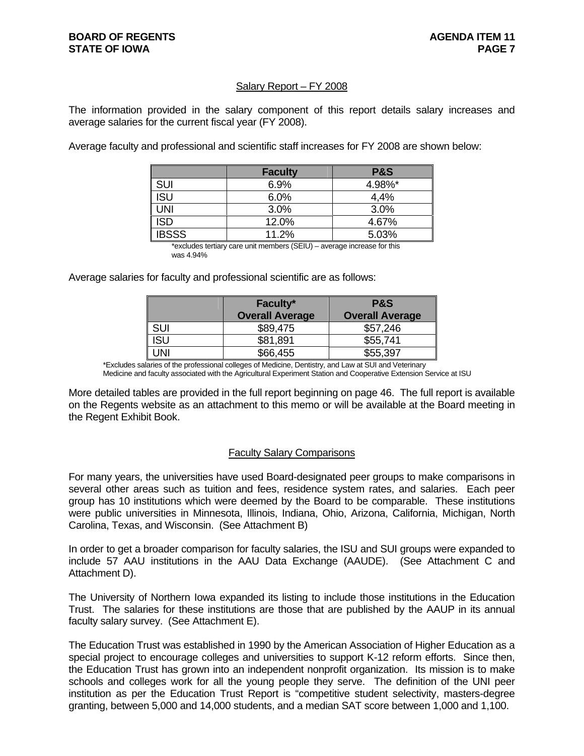# Salary Report – FY 2008

The information provided in the salary component of this report details salary increases and average salaries for the current fiscal year (FY 2008).

Average faculty and professional and scientific staff increases for FY 2008 are shown below:

|              | <b>Faculty</b> | <b>P&amp;S</b> |
|--------------|----------------|----------------|
| SUI          | 6.9%           | 4.98%*         |
| ISU          | 6.0%           | 4,4%           |
| UNI          | 3.0%           | 3.0%           |
| ISD          | 12.0%          | 4.67%          |
| <b>IBSSS</b> | 11.2%          | 5.03%          |

 \*excludes tertiary care unit members (SEIU) – average increase for this was 4.94%

Average salaries for faculty and professional scientific are as follows:

|            | Faculty*<br><b>Overall Average</b> | <b>P&amp;S</b><br><b>Overall Average</b> |
|------------|------------------------------------|------------------------------------------|
| <b>SUI</b> | \$89,475                           | \$57,246                                 |
| ISU        | \$81,891                           | \$55,741                                 |
| JNI        | \$66,455                           | \$55,397                                 |

\*Excludes salaries of the professional colleges of Medicine, Dentistry, and Law at SUI and Veterinary

Medicine and faculty associated with the Agricultural Experiment Station and Cooperative Extension Service at ISU

More detailed tables are provided in the full report beginning on page 46. The full report is available on the Regents website as an attachment to this memo or will be available at the Board meeting in the Regent Exhibit Book.

#### Faculty Salary Comparisons

For many years, the universities have used Board-designated peer groups to make comparisons in several other areas such as tuition and fees, residence system rates, and salaries. Each peer group has 10 institutions which were deemed by the Board to be comparable. These institutions were public universities in Minnesota, Illinois, Indiana, Ohio, Arizona, California, Michigan, North Carolina, Texas, and Wisconsin. (See Attachment B)

In order to get a broader comparison for faculty salaries, the ISU and SUI groups were expanded to include 57 AAU institutions in the AAU Data Exchange (AAUDE). (See Attachment C and Attachment D).

The University of Northern Iowa expanded its listing to include those institutions in the Education Trust. The salaries for these institutions are those that are published by the AAUP in its annual faculty salary survey. (See Attachment E).

The Education Trust was established in 1990 by the American Association of Higher Education as a special project to encourage colleges and universities to support K-12 reform efforts. Since then, the Education Trust has grown into an independent nonprofit organization. Its mission is to make schools and colleges work for all the young people they serve. The definition of the UNI peer institution as per the Education Trust Report is "competitive student selectivity, masters-degree granting, between 5,000 and 14,000 students, and a median SAT score between 1,000 and 1,100.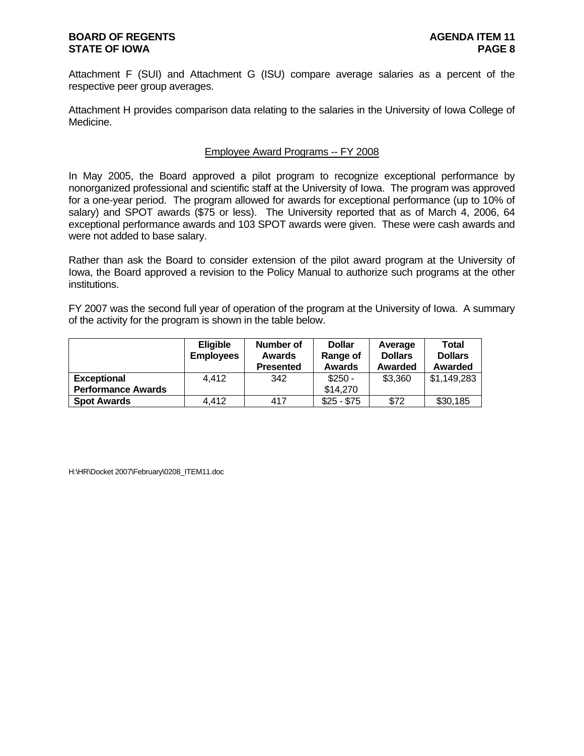Attachment F (SUI) and Attachment G (ISU) compare average salaries as a percent of the respective peer group averages.

Attachment H provides comparison data relating to the salaries in the University of Iowa College of Medicine.

#### Employee Award Programs -- FY 2008

In May 2005, the Board approved a pilot program to recognize exceptional performance by nonorganized professional and scientific staff at the University of Iowa. The program was approved for a one-year period. The program allowed for awards for exceptional performance (up to 10% of salary) and SPOT awards (\$75 or less). The University reported that as of March 4, 2006, 64 exceptional performance awards and 103 SPOT awards were given. These were cash awards and were not added to base salary.

Rather than ask the Board to consider extension of the pilot award program at the University of Iowa, the Board approved a revision to the Policy Manual to authorize such programs at the other institutions.

FY 2007 was the second full year of operation of the program at the University of Iowa. A summary of the activity for the program is shown in the table below.

|                           | <b>Eligible</b><br><b>Employees</b> | Number of<br><b>Awards</b><br><b>Presented</b> | <b>Dollar</b><br>Range of<br><b>Awards</b> | Average<br><b>Dollars</b><br>Awarded | Total<br><b>Dollars</b><br>Awarded |
|---------------------------|-------------------------------------|------------------------------------------------|--------------------------------------------|--------------------------------------|------------------------------------|
| <b>Exceptional</b>        | 4.412                               | 342                                            | $$250 -$                                   | \$3,360                              | \$1,149,283                        |
| <b>Performance Awards</b> |                                     |                                                | \$14,270                                   |                                      |                                    |
| <b>Spot Awards</b>        | 4,412                               | 417                                            | $$25 - $75$                                | \$72                                 | \$30,185                           |

H:\HR\Docket 2007\February\0208\_ITEM11.doc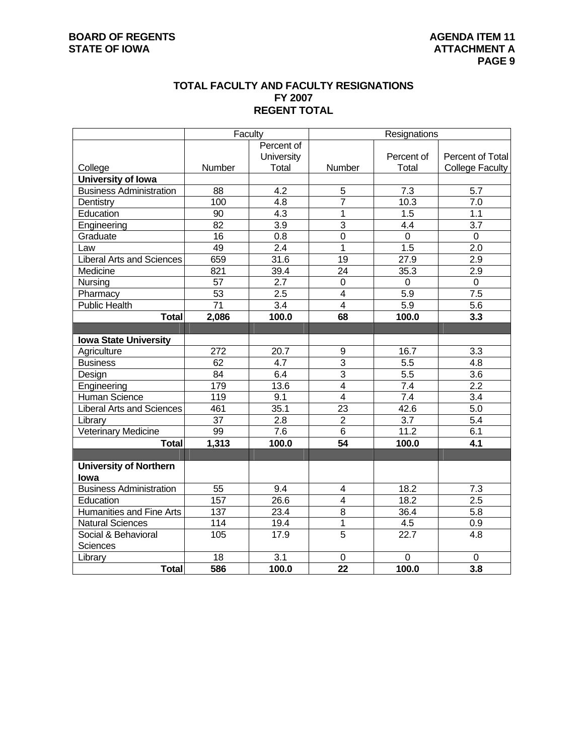# **TOTAL FACULTY AND FACULTY RESIGNATIONS FY 2007 REGENT TOTAL**

|                                  | Faculty          |                   | Resignations            |                  |                        |  |  |  |
|----------------------------------|------------------|-------------------|-------------------------|------------------|------------------------|--|--|--|
|                                  |                  | Percent of        |                         |                  |                        |  |  |  |
|                                  |                  | <b>University</b> |                         | Percent of       | Percent of Total       |  |  |  |
| College                          | Number           | Total             | Number                  | Total            | <b>College Faculty</b> |  |  |  |
| University of Iowa               |                  |                   |                         |                  |                        |  |  |  |
| <b>Business Administration</b>   | 88               | 4.2               | $\overline{5}$          | 7.3              | $\overline{5.7}$       |  |  |  |
| Dentistry                        | 100              | 4.8               | 7                       | 10.3             | 7.0                    |  |  |  |
| Education                        | 90               | 4.3               | 1                       | 1.5              | 1.1                    |  |  |  |
| Engineering                      | 82               | $\overline{3.9}$  | $\overline{3}$          | 4.4              | 3.7                    |  |  |  |
| Graduate                         | 16               | 0.8               | $\overline{0}$          | $\mathbf 0$      | $\boldsymbol{0}$       |  |  |  |
| Law                              | 49               | 2.4               | $\overline{1}$          | 1.5              | $\overline{2.0}$       |  |  |  |
| <b>Liberal Arts and Sciences</b> | 659              | 31.6              | 19                      | 27.9             | $\overline{2.9}$       |  |  |  |
| Medicine                         | 821              | 39.4              | $\overline{24}$         | 35.3             | $\overline{2.9}$       |  |  |  |
| Nursing                          | 57               | $\overline{2.7}$  | 0                       | $\mathbf 0$      | 0                      |  |  |  |
| Pharmacy                         | $\overline{53}$  | 2.5               | 4                       | 5.9              | $\overline{7.5}$       |  |  |  |
| <b>Public Health</b>             | $\overline{71}$  | $\overline{3.4}$  | $\overline{4}$          | 5.9              | 5.6                    |  |  |  |
| <b>Total</b>                     | 2,086            | 100.0             | 68                      | 100.0            | 3.3                    |  |  |  |
|                                  |                  |                   |                         |                  |                        |  |  |  |
| <b>Iowa State University</b>     |                  |                   |                         |                  |                        |  |  |  |
| Agriculture                      | $\overline{272}$ | 20.7              | 9                       | 16.7             | $\overline{3.3}$       |  |  |  |
| <b>Business</b>                  | 62               | 4.7               | $\overline{3}$          | $\overline{5.5}$ | 4.8                    |  |  |  |
| Design                           | 84               | 6.4               | 3                       | 5.5              | 3.6                    |  |  |  |
| Engineering                      | 179              | 13.6              | $\overline{4}$          | 7.4              | $\overline{2.2}$       |  |  |  |
| Human Science                    | 119              | 9.1               | $\overline{4}$          | 7.4              | 3.4                    |  |  |  |
| <b>Liberal Arts and Sciences</b> | 461              | 35.1              | $\overline{23}$         | 42.6             | 5.0                    |  |  |  |
| Library                          | $\overline{37}$  | $\overline{2.8}$  | $\overline{2}$          | $\overline{3.7}$ | $\overline{5.4}$       |  |  |  |
| <b>Veterinary Medicine</b>       | 99               | $\overline{7.6}$  | $\overline{6}$          | 11.2             | 6.1                    |  |  |  |
| <b>Total</b>                     | 1,313            | 100.0             | 54                      | 100.0            | 4.1                    |  |  |  |
|                                  |                  |                   |                         |                  |                        |  |  |  |
| <b>University of Northern</b>    |                  |                   |                         |                  |                        |  |  |  |
| lowa                             |                  |                   |                         |                  |                        |  |  |  |
| <b>Business Administration</b>   | 55               | 9.4               | 4                       | 18.2             | 7.3                    |  |  |  |
| Education                        | 157              | 26.6              | $\overline{\mathbf{4}}$ | 18.2             | $\overline{2.5}$       |  |  |  |
| <b>Humanities and Fine Arts</b>  | $\overline{137}$ | 23.4              | $\overline{8}$          | 36.4             | $\overline{5.8}$       |  |  |  |
| <b>Natural Sciences</b>          | 114              | 19.4              | 1                       | 4.5              | 0.9                    |  |  |  |
| Social & Behavioral              | 105              | 17.9              | $\overline{5}$          | 22.7             | 4.8                    |  |  |  |
| Sciences                         |                  |                   |                         |                  |                        |  |  |  |
| Library                          | 18               | 3.1               | 0                       | $\mathbf 0$      | 0                      |  |  |  |
| <b>Total</b>                     | 586              | 100.0             | 22                      | 100.0            | 3.8                    |  |  |  |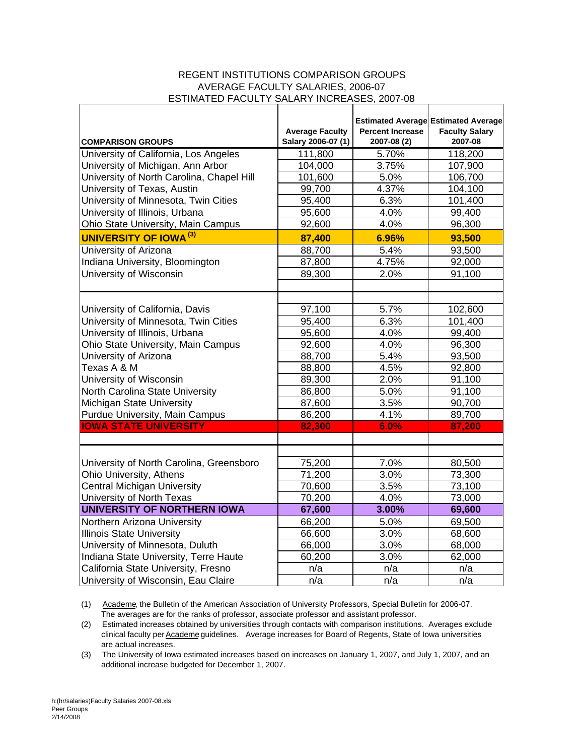#### REGENT INSTITUTIONS COMPARISON GROUPS AVERAGE FACULTY SALARIES, 2006-07 ESTIMATED FACULTY SALARY INCREASES, 2007-08

| <b>COMPARISON GROUPS</b>                  | <b>Average Faculty</b><br>Salary 2006-07 (1) | <b>Percent Increase</b><br>2007-08 (2) | <b>Estimated Average Estimated Average</b><br><b>Faculty Salary</b><br>2007-08 |
|-------------------------------------------|----------------------------------------------|----------------------------------------|--------------------------------------------------------------------------------|
| University of California, Los Angeles     | 111,800                                      | 5.70%                                  | 118,200                                                                        |
| University of Michigan, Ann Arbor         | 104,000                                      | 3.75%                                  | 107,900                                                                        |
| University of North Carolina, Chapel Hill | 101,600                                      | 5.0%                                   | 106,700                                                                        |
| University of Texas, Austin               | 99,700                                       | 4.37%                                  | 104,100                                                                        |
| University of Minnesota, Twin Cities      | 95,400                                       | 6.3%                                   | 101,400                                                                        |
| University of Illinois, Urbana            | 95,600                                       | 4.0%                                   | 99,400                                                                         |
| Ohio State University, Main Campus        | 92,600                                       | 4.0%                                   | 96,300                                                                         |
| <b>UNIVERSITY OF IOWA (3)</b>             | 87,400                                       | 6.96%                                  | 93,500                                                                         |
| University of Arizona                     | 88,700                                       | 5.4%                                   | 93,500                                                                         |
| Indiana University, Bloomington           | 87,800                                       | 4.75%                                  | 92,000                                                                         |
| University of Wisconsin                   | 89,300                                       | 2.0%                                   | 91,100                                                                         |
|                                           |                                              |                                        |                                                                                |
|                                           |                                              |                                        |                                                                                |
| University of California, Davis           | 97,100                                       | 5.7%                                   | 102,600                                                                        |
| University of Minnesota, Twin Cities      | 95,400                                       | 6.3%                                   | 101,400                                                                        |
| University of Illinois, Urbana            | 95,600                                       | 4.0%                                   | 99,400                                                                         |
| Ohio State University, Main Campus        | 92,600                                       | 4.0%                                   | 96,300                                                                         |
| University of Arizona                     | 88,700                                       | 5.4%                                   | 93,500                                                                         |
| Texas A & M                               | 88,800                                       | 4.5%                                   | 92,800                                                                         |
| University of Wisconsin                   | 89,300                                       | 2.0%                                   | 91,100                                                                         |
| North Carolina State University           | 86,800                                       | 5.0%                                   | 91,100                                                                         |
| Michigan State University                 | 87,600                                       | 3.5%                                   | 90,700                                                                         |
| Purdue University, Main Campus            | 86,200                                       | 4.1%                                   | 89,700                                                                         |
| <b>IOWA STATE UNIVERSITY</b>              | 82,300                                       | 6.0%                                   | 87,200                                                                         |
|                                           |                                              |                                        |                                                                                |
| University of North Carolina, Greensboro  | 75,200                                       | 7.0%                                   | 80,500                                                                         |
| Ohio University, Athens                   | 71,200                                       | 3.0%                                   | 73,300                                                                         |
| <b>Central Michigan University</b>        | 70,600                                       | 3.5%                                   | 73,100                                                                         |
| University of North Texas                 | 70,200                                       | 4.0%                                   | 73,000                                                                         |
| UNIVERSITY OF NORTHERN IOWA               | 67,600                                       | 3.00%                                  | 69,600                                                                         |
| Northern Arizona University               | 66,200                                       | 5.0%                                   | 69,500                                                                         |
| <b>Illinois State University</b>          | 66,600                                       | 3.0%                                   | 68,600                                                                         |
| University of Minnesota, Duluth           | 66,000                                       | 3.0%                                   | 68,000                                                                         |
| Indiana State University, Terre Haute     | 60,200                                       | 3.0%                                   | 62,000                                                                         |
| California State University, Fresno       | n/a                                          | n/a                                    | n/a                                                                            |
| University of Wisconsin, Eau Claire       | n/a                                          | n/a                                    | n/a                                                                            |

(1) Academe, the Bulletin of the American Association of University Professors, Special Bulletin for 2006-07. The averages are for the ranks of professor, associate professor and assistant professor.

(2) Estimated increases obtained by universities through contacts with comparison institutions. Averages exclude clinical faculty per Academe guidelines. Average increases for Board of Regents, State of Iowa universities are actual increases.

(3) The University of Iowa estimated increases based on increases on January 1, 2007, and July 1, 2007, and an additional increase budgeted for December 1, 2007.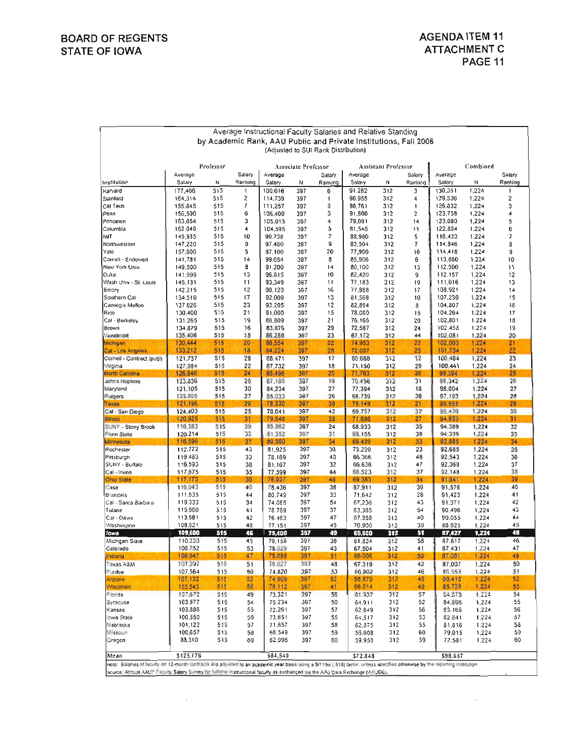|                                                |                    |            |                   |                   |                     |                                     | Average Instructional Faculty Salaries and Relative Standing     |                     |                         |                    |                |                   |
|------------------------------------------------|--------------------|------------|-------------------|-------------------|---------------------|-------------------------------------|------------------------------------------------------------------|---------------------|-------------------------|--------------------|----------------|-------------------|
|                                                |                    |            |                   |                   |                     |                                     | by Academic Rank, AAU Public and Private Institutions, Fall 2006 |                     |                         |                    |                |                   |
|                                                |                    |            |                   |                   |                     | (Adjusted to SUI Rank Distribution) |                                                                  |                     |                         |                    |                |                   |
|                                                |                    |            |                   |                   |                     |                                     |                                                                  |                     |                         |                    |                |                   |
|                                                |                    | Professor  |                   |                   | Associate Professor |                                     |                                                                  | Assistant Professor |                         |                    | Combined       |                   |
| Institution                                    | Average<br>Salary  | N          | Salary<br>Ranking | Average<br>Salary | Ν                   | Salary<br>Ranking                   | Average<br>Salary                                                | Ν                   | Salary<br>Ranking       | Average<br>Salary  | N              | Salary<br>Ranking |
| Harvard                                        | 177,406            | 515        | 1                 | 100,016           | 397                 | 6                                   | 91,282                                                           | 312                 | 3                       | 130,351            | 1,224          | 1                 |
| Stanford                                       | 164,314            | 515        | 2                 | 114,739           | 397                 | 1                                   | 90,955                                                           | 312                 | 4                       | 129.536            | 1,224          | 2                 |
| Cal Tech                                       | 155.845            | 515        | 7                 | 111,257           | 397                 | 2                                   | 98,761                                                           | 312                 | 1                       | 126.832            | 1,224          | 3                 |
| Penn                                           | 156,500            | 515        | 6                 | 106,400           | 397                 | 3                                   | 91,800                                                           | 312                 | $\overline{\mathbf{2}}$ | 123,758            | 1,224          | 4                 |
| Princeton                                      | 163,854            | 515        | 3                 | 105,015           | 397                 | 4                                   | 79,091                                                           | 312                 | 14                      | 123,080            | 1,224          | 5                 |
| Columbia                                       | 162.049            | 515        | 4                 | 104,595           | 397                 | 5                                   | 81,545                                                           | 312                 | 11                      | 122,894            | 1.224          | 6                 |
| мıт                                            | 145,935            | 515        | 10                | 99.738            | 397                 | 7                                   | 88,980                                                           | 312                 | 5                       | 116,433            | 1,224          | 7                 |
| Northwestern                                   | 147,220            | 515        | 9                 | 97.480            | 397                 | G                                   | 83,504                                                           | 312                 | 7                       | 114,846            | 1,224          | 8                 |
| Yale                                           | 157,600            | 515        | 5                 | 87,100            | 397                 | 20                                  | 77,900                                                           | 312                 | 16                      | 114,418            | 1,224          | 9                 |
| Cornell - Endowed<br>New York Univ.            | 141,781            | 515<br>515 | 14<br>8           | 99,054            | 397<br>397          | 8                                   | 85,906                                                           | 312                 | 6                       | 113,680            | 1,224          | 10<br>11          |
| Duke                                           | 149.500<br>141,999 | 515        | 13                | 91,200<br>96,815  | 397                 | 14<br>10                            | 80,100<br>82,420                                                 | 312<br>312          | 13<br>9                 | 112,900<br>112,157 | 1,224<br>1,224 | 12                |
| Wash Univ - St. Louis                          | 145,131            | 515        | 11                | 93,349            | 397                 | 11                                  | 77,183                                                           | 312                 | 19                      | 111,016            | 1.224          | 13                |
| Emory                                          | 142,215            | 515        | 12                | 90,120            | 397                 | 16                                  | 77,888                                                           | 312                 | 17                      | 108.921            | 1,224          | 14                |
| Southern Cal                                   | 134,510            | 515        | 17                | 92.009            | 397                 | 13                                  | 81,568                                                           | 312                 | 10                      | 107,230            | 1,224          | 15                |
| Camegie Mellon                                 | 127,026            | 515        | 23                | 93.205            | 397                 | 12                                  | 82,894                                                           | 312                 | 8                       | 104,307            | 1,224          | 16                |
| Rice                                           | 130,400            | 515        | 21                | 91,000            | 397                 | 15                                  | 78,000                                                           | 312                 | 15                      | 104,264            | 1,224          | 17                |
| Cal - Berkeley                                 | 131.265            | 515        | 19                | 86,809            | 397                 | 21                                  | 76,166                                                           | 312                 | 20                      | 102,801            | 1.224          | 18                |
| <b>Brown</b>                                   | 134.879            | 515        | 16                | 83,876            | 397                 | 29                                  | 72,587                                                           | 312                 | 24                      | 102,458            | 1,224          | 19                |
| Vanderibit                                     | 135,406            | 515        | 15                | 86,286            | 397                 | 23                                  | 67.172                                                           | 312                 | 44                      | 102.081            | 1,224          | 20                |
| Michigan                                       | 130,444<br>133,212 | 515<br>515 | 20<br>18          | 86,554            | 397<br>397          | 22<br>28                            | 74,953                                                           | 312                 | 22                      | 102,063            | 1,224          | 21<br>22          |
| Cal - Los Angeles<br>Corneil - Contract (publ) | 121.737            | 515        | 28                | 84,224<br>88,471  | 397                 | 17                                  | 72,057<br>80.688                                                 | 312<br>312          | 25<br>12                | 101,734<br>100.484 | 1,224<br>1,224 | 23                |
| Virginia                                       | 127,984            | 515        | 22                | 87,732            | 397                 | 18                                  | 71,150                                                           | 312                 | 29                      | 100,441            | 1,224          | 24                |
| North Carolina                                 | 126,846            | 515        | 24                | 85,496            | 397                 | 25                                  | 71,763                                                           | 312                 | 26                      | 99,394             | 1,224          | 25                |
| Johns Hopkins                                  | 123,836            | 515        | 26                | 87,185            | 397                 | 19                                  | 70,456                                                           | 312                 | 31                      | 98.342             | 1,224          | 26                |
| Maryland                                       | 121,105            | 515        | 30                | 84,234            | 397                 | 27                                  | 77,394                                                           | 312                 | 18                      | 98,004             | 1,224          | 27                |
| Futgers                                        | 123,305            | 515        | 27                | 85,033            | 397                 | 26                                  | 68,739                                                           | 312                 | 36                      | 97,193             | 1,224          | 28                |
| Texas                                          | 121,196            | 515        | 29                | 78,330            | 397                 | 39                                  | 75,149                                                           | 312                 | 21                      | 95,555             | 1.224          | 29                |
| Cal - San Diego                                | 124,403            | 515        | 25                | 78.041            | 397                 | 42                                  | 69.757                                                           | 312                 | 32                      | 95.436             | 1,224          | 30                |
| <b>Illinois</b>                                | 120,925            | 515        | 31                | 79,546            | 397                 | 35                                  | 71,686                                                           | 312                 | 27                      | 94,953             | 1.224          | 31                |
| SUNY - Stony Brook<br>Penn State               | 116.383<br>120.214 | 515<br>515 | 39<br>32          | 85.862<br>81.352  | 397<br>397          | 24<br>31                            | 68,933<br>68.155                                                 | 312<br>312          | 35<br>38                | 94,389<br>94.339   | 1,224<br>1,224 | 32<br>33          |
| Minnesots                                      | 116,596            | 515        | 37                | 80,560            | 397                 | 34                                  | 69,429                                                           | 312                 | 33                      | 92,885             | 1,224          | 34                |
| Rochester                                      | 112.772            | 515        | 43                | 81,925            | 397                 | 30                                  | 73,220                                                           | 312                 | 23                      | 92,685             | 1.224          | 35                |
| Pittsburgh                                     | 119.483            | 515        | 33                | 78,169            | 397                 | 40                                  | 66,366                                                           | 312                 | 48                      | 92.543             | 1.224          | 36                |
| SUNY - Buitalo                                 | 116,593            | 515        | 38                | 81,167            | 397                 | 32                                  | 66,636                                                           | 312                 | 47                      | 92,368             | 1.224          | 37                |
| Cal - Irvine                                   | 117,675            | 515        | 35                | 77,599            | 397                 | 44                                  | 68,523                                                           | 312                 | 37                      | 92.148             | 1,224          | 38                |
| <b>Ohio State</b>                              | 117,173            | 515        | 36                | 76,937            | 397                 | 46                                  | 69.383                                                           | 312                 | 34                      | 91,941             | 1,224          | 39                |
| Case                                           | 116,043            | 515        | 40                | 78,436            | 397                 | 38                                  | 67.911                                                           | 312                 | 39                      | 91,576             | 1,224          | 40                |
| Brandeis<br>Cal - Santa Barbara                | 111.635            | 515        | 44                | 80.749            | 397                 | 33                                  | 71,642                                                           | 312                 | 28                      | 91,423             | 1.224          | 41                |
| Tulane                                         | 119.333<br>115,960 | 515<br>515 | 34<br>41          | 74,066<br>78.769  | 397<br>397          | 54<br>37                            | 67,236<br>63,385                                                 | 312<br>312          | 43<br>54                | 91.371<br>90,496   | 1,224<br>1,224 | 42<br>43          |
| Cal - Davis                                    | 113,981            | 515        | 42                | 76.463            | 397                 | 47                                  | 67.353                                                           | 312                 | 40                      | 90.055             | 1,224          | 44                |
| Washington                                     | 108,921            | 515        | 48                | 77,151            | 397                 | 45                                  | 70.900                                                           | 312                 | 30                      | 88.925             | 1.224          | 45                |
| lowa                                           | 109,800            | 515        | 46                | 75,400            | 397                 | 49                                  | 65,800                                                           | 312                 | 51                      | 87,427             | 1,224          | 48                |
| Michigan State                                 | 110.233            | 515        | 45                | 79,158            | 397                 | 36                                  | 61,834                                                           | 312                 | 58                      | 87,817             | 1,224          | 46                |
| Colcrado                                       | 106.752            | 515        | 53                | 78.029            | 397                 | 43                                  | 67,504                                                           | 312                 | 41                      | 87,431             | 1,224          | 47                |
| tdiana                                         | 109,047            | 515        | 47                | 75.055            | 397                 | 51                                  | 66,006                                                           | 312                 | 50                      | 87,051             | 1,224          | 49                |
| M&A asxsT                                      | 107.397            | 515        | 51                | 76.027            | 397                 | 48                                  | 67.319                                                           | 312                 | 42                      | 87,007             | 1,224          | 50                |
| Furdue                                         | 107.564            | 515        | 50                | 74,820            | 397                 | 53                                  | 66,802                                                           | 312                 | 46                      | 86.563             | 1,224          | 51                |
| Artzona                                        | 107,132            | 515        | 52                | 74,909            | 397                 | 52                                  | 66,870                                                           | 312                 | 45                      | 86,418             | 1,224          | 52                |
| <b>Wisconsin</b>                               | 103,543            | 515        | 56                | 78,112            | 397                 | 41                                  | 66.014                                                           | 312                 | 49                      | 85.728             | 1.224          | 53                |
| Florida                                        | 107, 372           | 515<br>515 | 49                | 73,321            | 397                 | 56                                  | 61,937                                                           | 312                 | 57                      | 34,373<br>84,596   | 1,224          | 54                |
| Syracuse<br>Kansas                             | 103 977<br>103,886 | 515        | 54<br>55          | 75.234<br>72,261  | 397<br>397          | 50<br>57                            | 64,911<br>62.849                                                 | 312<br>312          | 52<br>56                | 83.168             | 1,224<br>1,224 | 55<br>56          |
| cwa State                                      | 100,550            | 515        | 59                | 73,651            | 397                 | 55                                  | 64,517                                                           | 312                 | 53                      | 82.641             | 1,224          | 57                |
| Nebraska                                       | 101,122            | 515        | 57                | 71,657            | 397                 | 58                                  | 62.875                                                           | 312                 | 55                      | 81.816             | 1.224          | 58                |
| Missouri                                       | 100,657            | 515        | 58                | 68.549            | 397                 | 59                                  | 56.608                                                           | 312                 | 60                      | 79,015             | 1,224          | 59                |
| Oregon                                         | 88,310             | 515        | 60                | 62,096            | 397                 | 60                                  | 59.958                                                           | 312                 | 59                      | 72.581             | 1.224          | 60                |
| Mean                                           | \$125,176          |            |                   | \$84,540          |                     |                                     | \$72.848                                                         |                     |                         | \$98,657           |                |                   |
|                                                |                    |            |                   |                   |                     |                                     |                                                                  |                     |                         |                    |                |                   |

 $\overline{\phantom{a}}$ 

note: Salaries of faculty on 12-month contracts are acjusted to an academic year basis using a 9/11ths [313] factor, unless specified<br>source: Annual AAUF Faculty Salary Survey for fulltime instructional faculty as exchang cified otherwise by the reporting in

 $\sim$ 

 $\sim 10^{-11}$ 

 $\sim 10^6$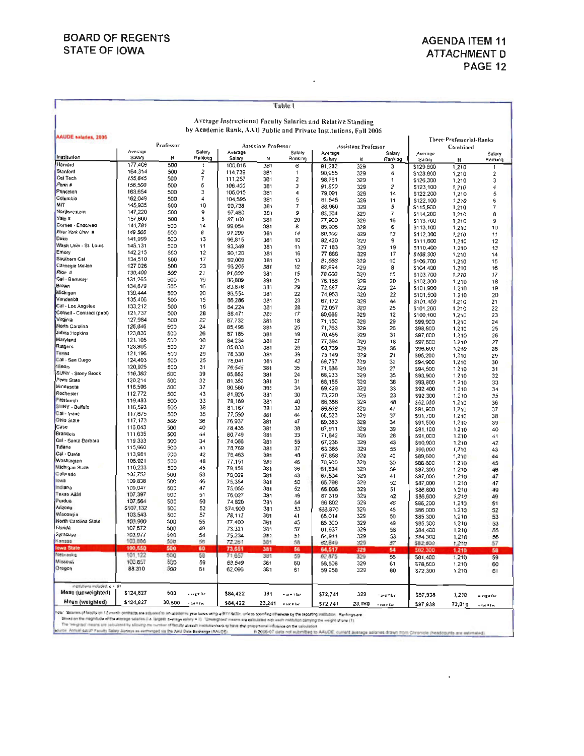$\ddot{\phantom{0}}$ 

|                              |                      |            |                   |                    |                     | Table I                     |                                                                  |                     |                 |                          |                |                            |
|------------------------------|----------------------|------------|-------------------|--------------------|---------------------|-----------------------------|------------------------------------------------------------------|---------------------|-----------------|--------------------------|----------------|----------------------------|
|                              |                      |            |                   |                    |                     |                             | Average Instructional Faculty Salaries and Relative Standing     |                     |                 |                          |                |                            |
| <b>AAUDE salaries, 2006</b>  |                      |            |                   |                    |                     |                             | by Academic Rank, AAU Public and Private Institutions, Fall 2006 |                     |                 |                          |                |                            |
|                              |                      | Professor  |                   |                    | Associate Professor |                             |                                                                  |                     |                 | Three-Professorial-Ranks |                |                            |
|                              | Average              |            | Salary            | Average            |                     | Salary                      | Average                                                          | Assistant Professor | Salary          | Average                  | Combined       | Salary                     |
| Institution                  | Salary               | N          | Ranking           | Salary             | И                   | Ranking                     | Salary                                                           | Ν                   | Ranking         | Salary                   | И              | Ranking                    |
| Harvard<br>Stanford          | 177,406              | 500        | 1                 | 100,016            | 381                 | 6                           | 91,282                                                           | 329                 | 3               | \$129,600                | 1,210          | 1                          |
| Cal Tech                     | 164,314<br>155,845   | 500<br>500 | 2<br>7            | 114,739            | 381                 | 1                           | 90,955                                                           | 329                 | 4               | \$128,800                | 1,210          | $\overline{2}$             |
| Penn#                        | 156,500              | 500        | 6                 | 111,257<br>106,400 | 381<br>381          | 2<br>з                      | 98,761                                                           | 329                 | 1               | \$126,300                | 1,210          | 3                          |
| Princeton                    | 163,654              | 500        | 3                 | 105,015            | 381                 | 4                           | 91,800<br>79.091                                                 | 329<br>329          | 2<br>14         | \$123,100<br>\$122,200   | 1,210          | 4                          |
| Columbia                     | 162,049              | 500        | 4                 | 104,595            | 381                 | 5                           | 81,545                                                           | 329                 | 11              | \$122,100                | 1,210<br>1,210 | 5<br>6                     |
| MIT                          | 145,935              | 500        | 10                | 99,738             | 381                 | 7                           | 88,980                                                           | 329                 | 5               | \$115,900                | 1,210          | 7                          |
| Northwestern                 | 147,220              | 500        | 9                 | 97,480             | 381                 | 9                           | 83,504                                                           | 329                 | 7               | \$114,200                | 1,210          | 8                          |
| Yale #<br>Cornell - Endowed  | 157.600              | 500        | 5                 | 87.100             | 381                 | 20                          | 77,900                                                           | 329                 | 16              | \$113,700                | 1,210          | 9                          |
| New York Univ #              | 141,781<br>149,500   | 500<br>500 | 14<br>8           | 99,054<br>91.200   | 381                 | 8                           | 85,906                                                           | 329                 | 6               | \$113,100                | 1,210          | 10                         |
| Duke                         | 141,999              | 500        | 13                | 96,815             | 381<br>381          | 14<br>10                    | 80,100                                                           | 329                 | 13              | \$112,300                | 1,210          | 11                         |
| Wash Univ - St. Louis        | 145,131              | 500        | 11                | 93,349             | 381                 | 11                          | 82,420<br>77,183                                                 | 329<br>329          | 9<br>19         | \$111,600<br>\$110,400   | 1,210          | 12                         |
| Emory                        | 142,215              | 500        | 12                | 90,120             | 381                 | 16                          | 77,888                                                           | 329                 | 17              | \$108,300                | 1,210<br>1,210 | 13<br>14                   |
| Southern Cal                 | 134,510              | 500        | 17                | 92,009             | 381                 | 13                          | 81,568                                                           | 329                 | 10              | \$106,700                | 1,210          | 15                         |
| Camegie Mellon               | 127,026              | 500        | 23                | 93,205             | 381                 | 12                          | 82,894                                                           | 329                 | 8               | \$104,400                | 1,210          | 16                         |
| Rice #                       | 130,400              | 500        | 21                | 91,000             | 381                 | 15                          | 78,000                                                           | 329                 | 15              | \$103,700                | 1,210          | 17                         |
| Cal - Berkeley<br>Brown      | 131,265<br>134,879   | 500<br>500 | 19                | 86,809             | 381                 | 21                          | 76,166                                                           | 329                 | 20              | \$102,300                | 1,210          | 18                         |
| Michigan                     | 130,444              | 500        | 16<br>20          | 83,876<br>86,554   | 381<br>381          | 29                          | 72,587                                                           | 329                 | 24              | \$101,900                | 1,210          | 19                         |
| Vandenbit                    | 135,406              | 500        | 15                | 86,286             | 381                 | 22<br>23                    | 74,953<br>67,172                                                 | 329<br>329          | 22<br>44        | \$101,500<br>\$101.400   | 1,210          | 20                         |
| Cal - Los Angeles            | 133,212              | 500        | 18                | 84,224             | 381                 | 28                          | 72,057                                                           | 329                 | 25              | \$101,200                | 1,210<br>1,210 | 21<br>22                   |
| Comell - Contract (publ)     | 121,737              | 500        | 28                | 88,471             | 381                 | 17                          | 80,688                                                           | 329                 | 12              | \$100,100                | 1,210          | 23                         |
| Virginia                     | 127,984              | 500        | 22                | 87,732             | 381                 | 18                          | 71,150                                                           | 329                 | 29              | \$99,900                 | 1,210          | 24                         |
| North Carolina               | 126,846              | 500        | 24                | 85,496             | 381                 | 25                          | 71,763                                                           | 329                 | 26              | \$98,800                 | 1,210          | 25                         |
| Johns Hopkins                | 123,836              | 500        | 26                | 87,185             | 381                 | 19                          | 70,456                                                           | 329                 | 31              | \$97,800                 | 1,210          | 26                         |
| Maryland<br>Rutgers          | 121,105<br>123,805   | 500<br>500 | 30<br>27          | 84,234             | 381                 | 27                          | 77,394                                                           | 329                 | 18              | \$97,600                 | 1,210          | 27                         |
| Texas                        | 121,196              | 500        | 29                | 85,033<br>78,330   | 381<br>381          | 26<br>39                    | 68,739                                                           | 329                 | 36              | \$96,600                 | 1,210          | 28                         |
| Cal - San Olego              | 124,403              | 500        | 25                | 78,041             | 381                 | 42                          | 75,149<br>69,757                                                 | 329<br>329          | 21<br>32        | \$95,200<br>\$94,900     | 1,210          | 29                         |
| <b>Illinois</b>              | 120,925              | 500        | 31                | 79,546             | 381                 | 35                          | 71,686                                                           | 329                 | 27              | \$94,500                 | 1,210<br>1,210 | 30<br>31                   |
| SUNY - Stony Brook           | 115,383              | 500        | 39                | 85,862             | 381                 | 24                          | 68,933                                                           | 329                 | 35              | \$93,900                 | 1,210          | 32                         |
| Penn State                   | 120.214              | 500        | 32                | 81.352             | 381                 | 31                          | 68,155                                                           | 329                 | 38              | \$93,800                 | 1,210          | 33                         |
| Minnesota<br>Rochester       | 116,596              | 500        | 37                | 80,560             | 381                 | 34                          | 69.429                                                           | 329                 | 33              | \$92,400                 | 1,210          | 34                         |
| <b>Fitsburgh</b>             | 112,772<br>119,483   | 500<br>500 | 43<br>33          | 81,925             | 381                 | 30                          | 73,220                                                           | 329                 | 23              | \$92,300                 | 1,210          | 35                         |
| SUNY - Buffalo               | 116,593              | 500        | 38                | 78,169<br>81,167   | 381<br>381          | 40<br>32                    | 66,366                                                           | 329                 | 48              | \$92,000                 | 1,210          | 36                         |
| Cal - Irvine                 | 117,675              | 500        | 35                | 77,599             | 381                 | 44                          | 66,636<br>68,523                                                 | 329<br>329          | 47<br>37        | \$91,900                 | 1,210          | 37                         |
| <b>Chio State</b>            | 117, 173             | 500        | 36                | 76,937             | 381                 | 47                          | 69,383                                                           | 329                 | 34              | \$91,700<br>\$91,500     | 1,210<br>1,210 | 38<br>39                   |
| Case                         | 116,043              | 500        | 40                | 78,436             | 381                 | 38                          | 67,911                                                           | 329                 | 39              | \$91,100                 | 1,210          | 40                         |
| Brandeis                     | 111,635              | 500        | 44                | 80,749             | 381                 | 33                          | 71,642                                                           | 329                 | 28              | \$91,000                 | 1,210          | 41                         |
| Cal - Santa Barbara          | 119,333              | 500        | 34                | 74,066             | 381                 | 55                          | 67,236                                                           | 329                 | 43              | \$90,900                 | 1,210          | 42                         |
| Tulane<br>Cal - Davis        | 115,960              | 500<br>500 | 41                | 78,769             | 381                 | 37                          | 63,385                                                           | 329                 | 55              | \$90,000                 | 1,210          | 43                         |
| Washington                   | 113,981<br>108,921   | 500        | 42<br>48          | 76,463<br>77,151   | 381<br>381          | 48                          | 67,858                                                           | 329                 | 40              | \$89,600                 | 1,210          | 44                         |
| Michigan State               | 110,233              | 500        | 45                | 79,158             | 381                 | 46<br>36                    | 70,900<br>61,834                                                 | 329<br>329          | 30<br>59        | \$88,600                 | 1,210          | 45                         |
| Colorado                     | 106,752              | 500        | 53                | 78,029             | 381                 | 43                          | 67,504                                                           | 329                 | 41              | \$87,300<br>\$87,000     | 1,210<br>1,210 | 46<br>47                   |
| <b>SOW3</b>                  | 109,838              | 500        | 46                | 75,354             | 381                 | 50                          | 65,798                                                           | 329                 | 52              | \$87,000                 | 1,210          | 47                         |
| Indiana                      | 109,047              | 500        | 47                | 75,055             | 381                 | 52                          | 66,006                                                           | 329                 | 51              | \$86,600                 | 1,210          | 49                         |
| Texas A&M                    | 107,397              | 500        | 51                | 76,027             | 381                 | 49                          | 67,319                                                           | 329                 | 42              | \$86,600                 | 1,210          | 49                         |
| - urdue<br>Anzona            | 107,564<br>\$107,132 | 500        | 50                | 74,820             | 381                 | 54                          | 66,802                                                           | 329                 | 46              | \$86,200                 | 1,210          | 51                         |
| Wisconsin                    | 103,543              | 500<br>500 | 52<br>57          | \$74,909<br>78,112 | 381                 | 53                          | \$66.870                                                         | 329                 | 45              | \$86,000                 | 1,210          | 52                         |
| North Carolina State         | 103,900              | 500        | 55                | 77,400             | 381<br>381          | 41<br>45                    | 66.014                                                           | 329                 | 50              | \$85,300                 | 1,210          | 53                         |
| Florida                      | 107,672              | 500        | 49                | 73,321             | 381                 | 57                          | 66,300<br>61,937                                                 | 329<br>329          | 49<br>58        | \$85,300                 | 1,210          | 53                         |
| Syracuse                     | 103,977              | 500        | 54                | 75,234             | 381                 | 54                          | 64,911                                                           | 329                 | 53              | \$84,400<br>\$84,300     | 1,210<br>1,210 | 55<br>56                   |
| Kansas                       | 103,886              | 500        | 56                | 72.261             | 381                 | 58                          | 62,849                                                           | 329                 | 57              | \$82,800                 | 1,210          | $-57$                      |
| <b>Iowa State</b>            | 100,550              | 500        | 60                | 73,651             | 381                 | 56                          | 64,517                                                           | 329                 | 54              | \$82,300                 | 1,210          | 58                         |
| Nebraska                     | 101, 122             | 500        | 58                | 71,657             | 381                 | 59                          | 62.875                                                           | 329                 | 56              | 581,400                  | 1,210          | 59                         |
| Missouri<br>Gregon           | 100,657<br>88,310    | 500<br>500 | 59<br>61          | 68,549<br>62,096   | 381<br>381          | 60<br>61                    | 56,608<br>59,958                                                 | 329<br>329          | 61<br>60        | \$78,600<br>\$72,300     | 1,210<br>1,210 | 60<br>61                   |
| nottuttonsi ne babat, n = 61 |                      |            |                   |                    |                     |                             |                                                                  |                     |                 |                          |                |                            |
| Mean (unweighted)            | \$124,827            | 500        | $=$ ang $\pi$ fac | \$84,422           | 381                 | = avg # fac                 | 572,741                                                          | 329                 | = ang # fac     | \$97,938                 | 1,210          | = avg # fac                |
| Mean (weighted)              | \$124,827            | 30,500     | $=$ tot # f.ec    | \$84,422           | 23,241              | $\approx$ tot $\approx$ fac | \$72,741                                                         | 20,069              | $=$ tot $=$ fac | \$97.938                 | 73.810         | $=$ tot $\neq$ ( $\approx$ |

nter Salares of testigon (Growth centers are adjusted to in a cademic year bass using a firm factor, unless specified difference by the reporting methods. Rackings are<br>- Cased on the may have of the average salares (in lar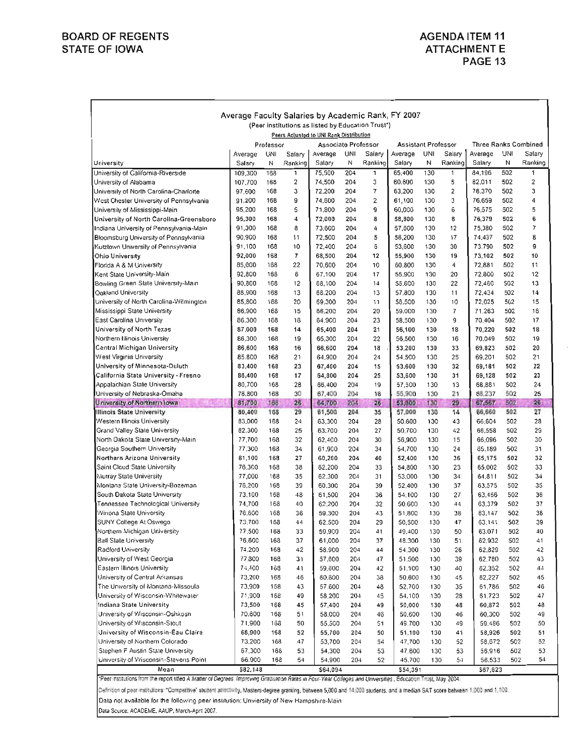# **BOARD OF REGENTS STATE OF IOWA**

# **AGENDA ITEM 11 ATTACHMENT E** PAGE 13

|                                                                                              | Average Faculty Salaries by Academic Rank, FY 2007 |            |                         |                     |            |          |                            |            |          |                             |            |          |
|----------------------------------------------------------------------------------------------|----------------------------------------------------|------------|-------------------------|---------------------|------------|----------|----------------------------|------------|----------|-----------------------------|------------|----------|
| (Peer institutions as listed by Education Trust*)<br>Peers Adjusted to UNI Rank Distribution |                                                    |            |                         |                     |            |          |                            |            |          |                             |            |          |
|                                                                                              |                                                    |            |                         |                     |            |          |                            |            |          |                             |            |          |
|                                                                                              |                                                    | Professor  |                         | Associate Professor |            |          | <b>Assistant Professor</b> |            |          | <b>Three Ranks Combined</b> |            |          |
|                                                                                              | Average                                            | UNI        | Salary                  | Average             | UNI        | Salary   | Average                    | UNI        | Salary   | Average                     | UNI        | Salary   |
| University                                                                                   | Salary                                             | N          | Ranking                 | Salary              | Ν          | Rankino  | Salary                     | N          | Ranking  | Salary                      | Ν          | Ranking  |
| University of California-Riverside                                                           | 109,300                                            | 168        | 1                       | 75,500              | 204        | 1        | 65,400                     | 130        | 1        | 84,196                      | 502        | 1        |
| University of Alabama                                                                        | 107,700                                            | 168        | $\overline{\mathbf{c}}$ | 74,500              | 204        | 3        | 60,600                     | 130        | 5        | 82,011                      | 502        | 2        |
| University of North Carolina-Charlotte                                                       | 97,600                                             | 168        | 3                       | 72,200              | 204        | 7        | 63,200                     | 130        | 2        | 78,370                      | 502        | 3        |
| West Chester University of Pennsylvania                                                      | 91,200                                             | 168        | 9                       | 74,600              | 204        | 2        | 61,100                     | 130        | 3        | 76,659                      | 502        | 4        |
| University of Mississippi-Main                                                               | 95,200                                             | 168        | 5                       | 71,800              | 204        | g        | 60,000                     | 130        | 6        | 76,575                      | 502        | 5        |
| University of North Carolina-Greensboro                                                      | 95,300                                             | 168<br>168 | 4<br>8                  | 72,000              | 204        | 8        | 58,800                     | 130<br>130 | 8<br>12  | 76,379<br>75,380            | 502<br>502 | 6<br>7   |
| Indiana University of Pennsylvania-Main<br>Bloomsburg University of Pennsylvania             | 91,300<br>90.900                                   | 168        | 11                      | 73,600<br>72,500    | 204<br>204 | 4<br>5   | 57,600<br>56,200           | 130        | 17       | 74,437                      | 502        | 8        |
| Kutztown University of Pennsylvania                                                          | 91,100                                             | 168        | 10                      | 72,400              | 204        | 6        | 53,600                     | 130        | 30       | 73,790                      | 502        | 9        |
| <b>Ohio University</b>                                                                       | 92,000                                             | 168        | 7                       | 68,500              | 204        | 12       | 55,900                     | 130        | 19       | 73,102                      | 502        | 10       |
| Florida A & M University                                                                     | 85,000                                             | 168        | 22                      | 70,600              | 204        | 10       | 60.800                     | 130        | 4        | 72,881                      | 502        | 11       |
| Kent State University-Main                                                                   | 92,800                                             | 168        | 6                       | 67,100              | 204        | 17       | 55,900                     | 130        | 20       | 72,800                      | 502        | 12       |
| Bowling Green State University-Main                                                          | 90,800                                             | 168        | 12                      | 68,100              | 204        | 14       | 55,600                     | 130        | 22       | 72,460                      | 502        | 13       |
| Oakland University                                                                           | 88,900                                             | 168        | 13                      | 68,200              | 204        | 13       | 57,800                     | 130        | 11       | 72,434                      | 502        | 14       |
| University of North Carolina-Wilmington                                                      | <b>85,800</b>                                      | 168        | 20                      | 69,300              | 204        | 11       | 58.500                     | 130        | 10       | 72,025                      | 502        | 15       |
| Mississippi State University                                                                 | 86,900                                             | 168        | 15                      | 66,200              | 204        | 20       | 59,000                     | 130        | 7        | 71,263                      | 502        | 16       |
| East Carolina University                                                                     | 86,300                                             | 168        | 18                      | 64,900              | 204        | 23       | 58,500                     | 130        | g        | 70,404                      | 502        | 17       |
| University of North Texas                                                                    | 87,000                                             | 168        | 14                      | 65,400              | 204        | 21       | 56,100                     | 130        | 18       | 70,220                      | 502        | 18       |
| Northern Illinois University                                                                 | 86,300                                             | 168        | 19                      | 65,300              | 204        | 22       | 56,500                     | 130        | 16       | 70.049                      | 502        | 19       |
| Central Michigan University                                                                  | 86,600                                             | 168        | 16                      | 66,600              | 204        | 18       | 53,200                     | 130        | 33       | 69,823                      | 502        | 20       |
| West Virginia University                                                                     | 85.800                                             | 168        | 21                      | 64,900              | 204        | 24       | 54,500                     | 130        | 25       | 69,201                      | 502        | 21       |
| University of Minnesota-Duluth                                                               | 83,400                                             | 168        | 23                      | 67,400              | 204        | 15       | 53,600                     | 130        | 32       | 69,181                      | 502        | 22       |
| California State University - Fresno                                                         | 86,400                                             | 168        | 17                      | 64,800              | 204        | 25       | 53,600                     | 130        | 31       | 69,128                      | 502        | 23       |
| Appalachian State University                                                                 | 80,700                                             | 168        | 28                      | 66,400              | 204        | 19       | 57,500                     | 130        | 13       | 68,881                      | 502        | 24       |
| University of Nebraska-Omaha                                                                 | 78.800                                             | 168        | 30                      | 67,400              | 204        | 16       | 55,900                     | 130        | 21       | 68,237                      | 502        | 25       |
| University of Northern Iowa<br>CRIATES                                                       | 81,700                                             | 168        | 26                      | 64,700              | 204        | 26       | 53,300                     | 130        | 29       | 67,567                      | 502        | 26       |
| <b>Illinois State University</b>                                                             | 80,400                                             | 168        | 29                      | 61,500              | 204        | 35       | 57,000                     | 130        | 14       | 66,660                      | 502        | 27       |
| Western Illinois University                                                                  | 83,000                                             | 168<br>168 | 24                      | 63,300              | 204        | 28       | 50.600                     | 130        | 43       | 66,604                      | 502        | 28<br>29 |
| Grand Valley State University<br>North Dakota State University-Main                          | 82,300<br>77,700                                   | 168        | 25<br>32                | 63,700<br>62,400    | 204<br>204 | 27<br>30 | 50,700<br>56,900           | 130<br>130 | 42<br>15 | 66,558<br>66,096            | 502<br>502 | 30       |
| Georgia Southern University                                                                  | 77,300                                             | 168        | 34                      | 61.900              | 204        | 34       | 54,700                     | 130        | 24       | 65.189                      | 502        | 31       |
| Northern Arizona University                                                                  | 81,100                                             | 168        | 27                      | 60,200              | 204        | 40       | 52,400                     | 130        | 36       | 65,175                      | 502        | 32       |
| Saint Cloud State University                                                                 | 76,300                                             | 168        | 38                      | 62,200              | 204        | 33       | 54,800                     | 130        | 23       | 65,002                      | 502        | 33       |
| Murray State University                                                                      | 77,000                                             | 168        | 35                      | 62.300              | 204        | 31       | 53,000                     | 130        | 34       | 64,811                      | 502        | 34       |
| Montana State University-Bozeman                                                             | 76,200                                             | 168        | 39                      | 60,300              | 204        | 39       | 52,400                     | 130        | 37       | 63,575                      | 502        | 35       |
| South Dakota State University                                                                | 73,100                                             | 168        | 48                      | 61,500              | 204        | 36       | 54,100                     | 130        | 27       | 63,466                      | 502        | 36       |
| Tennessee Technological University                                                           | 74,700                                             | 168        | 40                      | 62,200              | 204        | 32       | 50,600                     | 130        | 44       | 63.379                      | 502        | 37       |
| Winona State University                                                                      | 76,600                                             | 168        | 36                      | 59,300              | 204        | 43       | 51,800                     | 130        | 38       | 63,147                      | 502        | 38       |
| SUNY College At Oswego                                                                       | 73,700                                             | 168        | 44                      | 62,500              | 204        | 29       | 50,500                     | 130        | 47       | 63,141                      | 502        | 39       |
| Northern Michigan University                                                                 | 77,500                                             | 168        | 33                      | 59,900              | 204        | 41       | 49,400                     | 130        | 50       | 63.071                      | 502        | 40       |
| <b>Ball Slate University</b>                                                                 | 76,600                                             | 168        | 37                      | 61,000              | 204        | 37       | 48.300                     | 130        | 51       | 62,932                      | 502        | 41       |
| Radford University                                                                           | 74,200                                             | 168        | 42                      | 58.900              | 204        | 44       | 54,300                     | 130        | 26       | 62,829                      | 502        | 42       |
| University of West Georgia                                                                   | 77,800                                             | 168        | 31                      | 57.600              | 204        | 47       | 51.500                     | 130        | 39       | 62.780                      | 502        | 43       |
| Eastern Illinois University                                                                  | 74,400                                             | 163        | 41                      | 59,600              | 204        | 42       | 51,100                     | 130        | 40       | 62,352                      | 502        | 44       |
| University of Central Arkansas                                                               | 73,200                                             | 168        | 46                      | 60,600              | 204        | 38       | 50.600                     | 130        | 45       | 62,227                      | 502        | 45       |
| The University of Montana-Missoula                                                           | 73,900                                             | 168        | 43                      | 57,600              | 204        | 48       | 52.700                     | 130        | 35       | 61,786                      | 502        | 46       |
| University of Wisconsin-Whitewater                                                           | 71,900                                             | 168        | 49                      | 58,200              | 204        | 45       | 54,100                     | 130        | 28       | 61.723                      | 502        | 47       |
| Indiana State University                                                                     | 73,500                                             | 168        | 45                      | 57,400              | 204        | 49       | 50,000                     | 130        | 48       | 60,872                      | 502        | 48       |
| University of Wisconsin-Oshkosh                                                              | 70.600                                             | 168        | 51                      | 58,000              | 204        | 46       | 50,600                     | 130        | 46       | 60,300                      | 502        | 49       |
| University of Wisconsin-Stout                                                                | 71,900                                             | 168        | 50                      | 55,500              | 204        | 51       | 49.700                     | 130        | 49       | 59.486                      | 502        | 50       |
| University of Wisconsin-Eau Claire                                                           | 68,900                                             | 168        | 52                      | 55,700              | 204        | 50       | 51,100                     | 130        | 41       | 58,926                      | 502        | 51       |
| University of Northern Colorado                                                              | 73,200                                             | 168        | 47                      | 53,700              | 204        | 54       | 47,700                     | 130        | 52       | 58,672                      | 502        | 52       |
| Stephen F Austin State University<br>University of Wisconsin-Stevens Point                   | 67,300<br>66.900                                   | 168<br>168 | 53<br>54                | 54,300              | 204<br>204 | 53<br>52 | 47,600                     | 130        | 53       | 56,916                      | 502<br>502 | 53<br>54 |
| Mean                                                                                         | \$82,148                                           |            |                         | 54,900<br>\$64,094  |            |          | 45,700<br>\$54,391         | 130        | 54       | 56.533                      |            |          |
|                                                                                              |                                                    |            |                         |                     |            |          |                            |            |          | \$67,623                    |            |          |

Peer institutions from the report stiled A Matter of Degrees: improving Graduation Rates in Four-Year Colleges and Universities , Education Trust, May 2004.

Definition of peer institutions: "Competitive" student selectivity, Masters-degree granting, between 5,000 and 14,000 students, and a median SAT score between 1,000 and 1,100.

Data not available for the following peer institution: Unviersity of New Hampshire-Main

Data Source: ACADEME, AAUP, March-April 2007.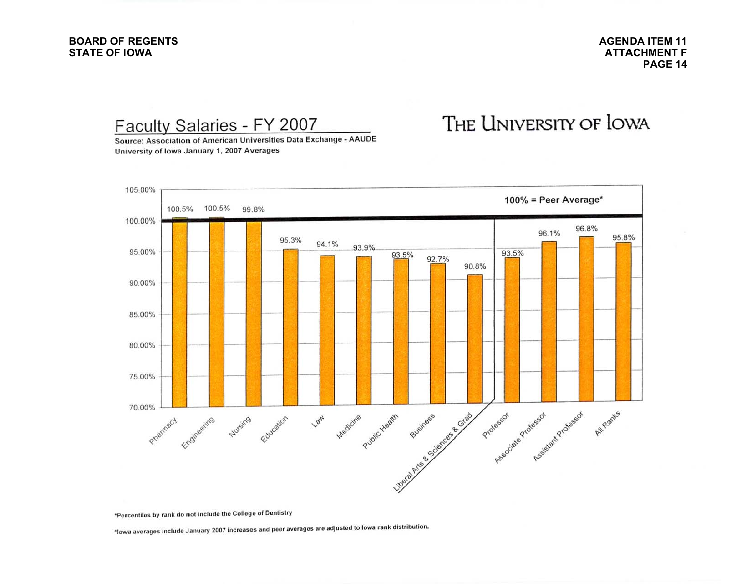#### **BOARD OF REGENTSSTATE OF IOWA**

**AGENDA ITEM 11ATTACHMENT FPAGE 14**

Faculty Salaries - FY 2007

# THE UNIVERSITY OF LOWA

Source: Association of American Universities Data Exchange - AAUDE University of Iowa January 1, 2007 Averages



\*Percentiles by rank do not include the College of Dentistry

\*lowa averages include January 2007 increases and peer averages are adjusted to lowa rank distribution.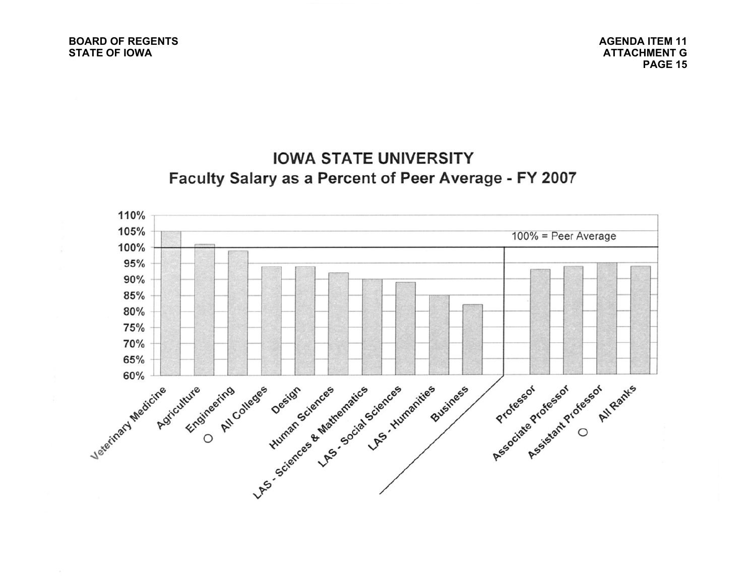**AGENDA ITEM 11ATTACHMENT GPAGE 15**

# **IOWA STATE UNIVERSITY** Faculty Salary as a Percent of Peer Average - FY 2007